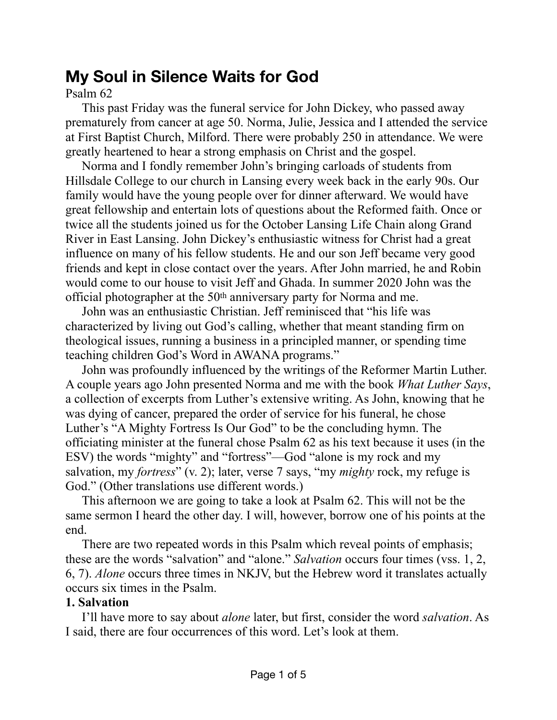# **My Soul in Silence Waits for God**

Psalm 62

This past Friday was the funeral service for John Dickey, who passed away prematurely from cancer at age 50. Norma, Julie, Jessica and I attended the service at First Baptist Church, Milford. There were probably 250 in attendance. We were greatly heartened to hear a strong emphasis on Christ and the gospel.

Norma and I fondly remember John's bringing carloads of students from Hillsdale College to our church in Lansing every week back in the early 90s. Our family would have the young people over for dinner afterward. We would have great fellowship and entertain lots of questions about the Reformed faith. Once or twice all the students joined us for the October Lansing Life Chain along Grand River in East Lansing. John Dickey's enthusiastic witness for Christ had a great influence on many of his fellow students. He and our son Jeff became very good friends and kept in close contact over the years. After John married, he and Robin would come to our house to visit Jeff and Ghada. In summer 2020 John was the official photographer at the 50th anniversary party for Norma and me.

John was an enthusiastic Christian. Jeff reminisced that "his life was characterized by living out God's calling, whether that meant standing firm on theological issues, running a business in a principled manner, or spending time teaching children God's Word in AWANA programs."

John was profoundly influenced by the writings of the Reformer Martin Luther. A couple years ago John presented Norma and me with the book *What Luther Says*, a collection of excerpts from Luther's extensive writing. As John, knowing that he was dying of cancer, prepared the order of service for his funeral, he chose Luther's "A Mighty Fortress Is Our God" to be the concluding hymn. The officiating minister at the funeral chose Psalm 62 as his text because it uses (in the ESV) the words "mighty" and "fortress"—God "alone is my rock and my salvation, my *fortress*" (v. 2); later, verse 7 says, "my *mighty* rock, my refuge is God." (Other translations use different words.)

This afternoon we are going to take a look at Psalm 62. This will not be the same sermon I heard the other day. I will, however, borrow one of his points at the end.

There are two repeated words in this Psalm which reveal points of emphasis; these are the words "salvation" and "alone." *Salvation* occurs four times (vss. 1, 2, 6, 7). *Alone* occurs three times in NKJV, but the Hebrew word it translates actually occurs six times in the Psalm.

# **1. Salvation**

I'll have more to say about *alone* later, but first, consider the word *salvation*. As I said, there are four occurrences of this word. Let's look at them.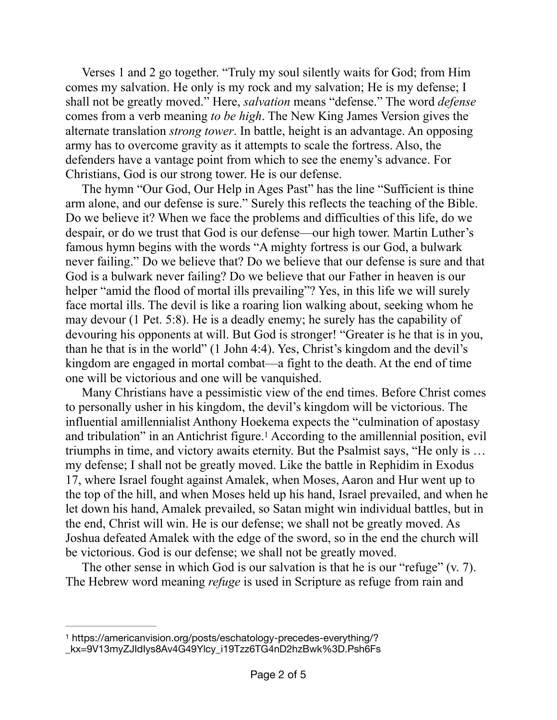Verses 1 and 2 go together. "Truly my soul silently waits for God; from Him comes my salvation. He only is my rock and my salvation; He is my defense; I shall not be greatly moved." Here, *salvation* means "defense." The word *defense* comes from a verb meaning *to be high*. The New King James Version gives the alternate translation *strong tower*. In battle, height is an advantage. An opposing army has to overcome gravity as it attempts to scale the fortress. Also, the defenders have a vantage point from which to see the enemy's advance. For Christians, God is our strong tower. He is our defense.

The hymn "Our God, Our Help in Ages Past" has the line "Sufficient is thine arm alone, and our defense is sure." Surely this reflects the teaching of the Bible. Do we believe it? When we face the problems and difficulties of this life, do we despair, or do we trust that God is our defense—our high tower. Martin Luther's famous hymn begins with the words "A mighty fortress is our God, a bulwark never failing." Do we believe that? Do we believe that our defense is sure and that God is a bulwark never failing? Do we believe that our Father in heaven is our helper "amid the flood of mortal ills prevailing"? Yes, in this life we will surely face mortal ills. The devil is like a roaring lion walking about, seeking whom he may devour (1 Pet. 5:8). He is a deadly enemy; he surely has the capability of devouring his opponents at will. But God is stronger! "Greater is he that is in you, than he that is in the world" (1 John 4:4). Yes, Christ's kingdom and the devil's kingdom are engaged in mortal combat—a fight to the death. At the end of time one will be victorious and one will be vanquished.

<span id="page-1-1"></span>Many Christians have a pessimistic view of the end times. Before Christ comes to personally usher in his kingdom, the devil's kingdom will be victorious. The influential amillennialist Anthony Hoekema expects the "culmination of apostasy and tribulation" in an Antichrist figure[.](#page-1-0)<sup>[1](#page-1-0)</sup> According to the amillennial position, evil triumphs in time, and victory awaits eternity. But the Psalmist says, "He only is … my defense; I shall not be greatly moved. Like the battle in Rephidim in Exodus 17, where Israel fought against Amalek, when Moses, Aaron and Hur went up to the top of the hill, and when Moses held up his hand, Israel prevailed, and when he let down his hand, Amalek prevailed, so Satan might win individual battles, but in the end, Christ will win. He is our defense; we shall not be greatly moved. As Joshua defeated Amalek with the edge of the sword, so in the end the church will be victorious. God is our defense; we shall not be greatly moved.

The other sense in which God is our salvation is that he is our "refuge" (v. 7). The Hebrew word meaning *refuge* is used in Scripture as refuge from rain and

<span id="page-1-0"></span>[<sup>1</sup>](#page-1-1) https://americanvision.org/posts/eschatology-precedes-everything/?

\_kx=9V13myZJIdIys8Av4G49Ylcy\_i19Tzz6TG4nD2hzBwk%3D.Psh6Fs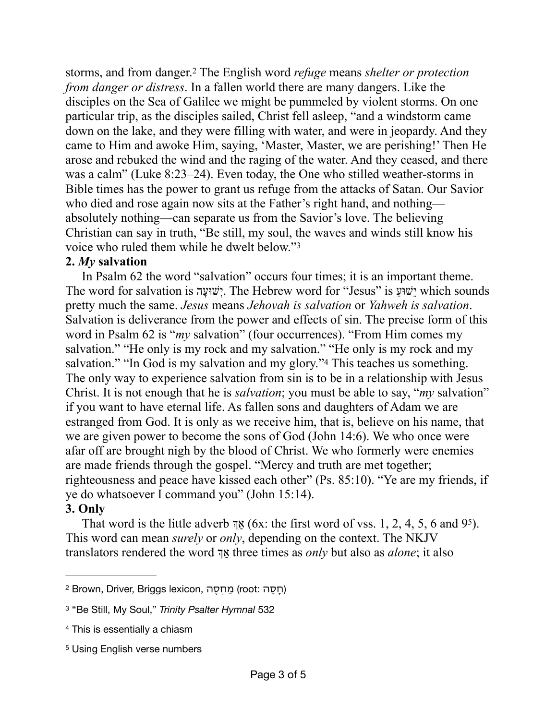<span id="page-2-4"></span>storms, and from danger.<sup>2</sup> The English word *refuge* means *shelter or protection from danger or distress*. In a fallen world there are many dangers. Like the disciples on the Sea of Galilee we might be pummeled by violent storms. On one particular trip, as the disciples sailed, Christ fell asleep, "and a windstorm came down on the lake, and they were filling with water, and were in jeopardy. And they came to Him and awoke Him, saying, 'Master, Master, we are perishing!' Then He arose and rebuked the wind and the raging of the water. And they ceased, and there was a calm" (Luke 8:23–24). Even today, the One who stilled weather-storms in Bible times has the power to grant us refuge from the attacks of Satan. Our Savior who died and rose again now sits at the Father's right hand, and nothing absolutely nothing—can separate us from the Savior's love. The believing Christian can say in truth, "Be still, my soul, the waves and winds still know his voice who ruled them while he dwelt below.["3](#page-2-1)

## <span id="page-2-5"></span>**2.** *My* **salvation**

<span id="page-2-6"></span>In Psalm 62 the word "salvation" occurs four times; it is an important theme. The word for salvation is הָשׁוּעְי. The Hebrew word for "Jesus" is ַשׁוּעֵי which sounds pretty much the same. *Jesus* means *Jehovah is salvation* or *Yahweh is salvation*. Salvation is deliverance from the power and effects of sin. The precise form of this word in Psalm 62 is "*my* salvation" (four occurrences). "From Him comes my salvation." "He only is my rock and my salvation." "He only is my rock and my salvation.["](#page-2-2) "In God is my salvation and my glory."<sup>[4](#page-2-2)</sup> This teaches us something. The only way to experience salvation from sin is to be in a relationship with Jesus Christ. It is not enough that he is *salvation*; you must be able to say, "*my* salvation" if you want to have eternal life. As fallen sons and daughters of Adam we are estranged from God. It is only as we receive him, that is, believe on his name, that we are given power to become the sons of God (John 14:6). We who once were afar off are brought nigh by the blood of Christ. We who formerly were enemies are made friends through the gospel. "Mercy and truth are met together; righteousness and peace have kissed each other" (Ps. 85:10). "Ye are my friends, if ye do whatsoever I command you" (John 15:14).

# <span id="page-2-7"></span>**3. Only**

That word is the little adverb אֲךְ  $6x$ : the first word of vss. 1, 2, 4, [5](#page-2-3), 6 and 9<sup>5</sup>). This word can mean *surely* or *only*, depending on the context. The NKJV translators rendered the word ך ַא three times as *only* but also as *alone*; it also

<span id="page-2-0"></span>[<sup>2</sup>](#page-2-4) (חָסָה :root (מַחְסֶה ,lexicon Briggs ,Driver ,Brown

<span id="page-2-1"></span>[<sup>3</sup>](#page-2-5) "Be Still, My Soul," *Trinity Psalter Hymnal* 532

<span id="page-2-2"></span>[<sup>4</sup>](#page-2-6) This is essentially a chiasm

<span id="page-2-3"></span>[<sup>5</sup>](#page-2-7) Using English verse numbers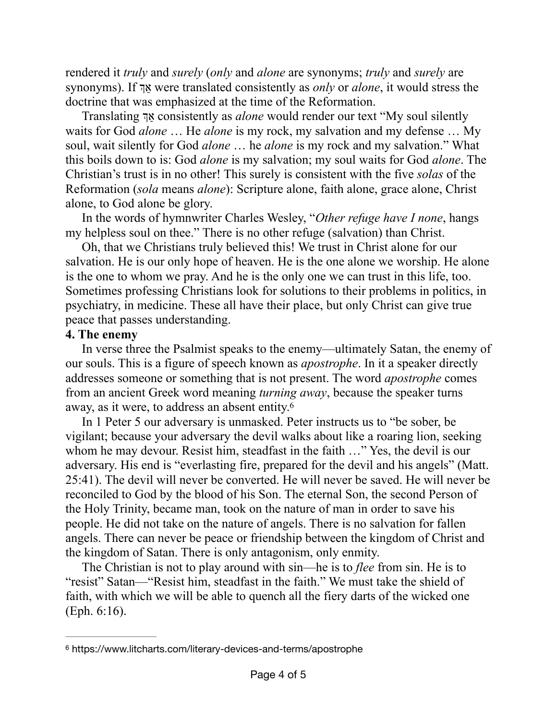rendered it *truly* and *surely* (*only* and *alone* are synonyms; *truly* and *surely* are synonyms). If ך ַא were translated consistently as *only* or *alone*, it would stress the doctrine that was emphasized at the time of the Reformation.

Translating ך ַא consistently as *alone* would render our text "My soul silently waits for God *alone* … He *alone* is my rock, my salvation and my defense … My soul, wait silently for God *alone* … he *alone* is my rock and my salvation." What this boils down to is: God *alone* is my salvation; my soul waits for God *alone*. The Christian's trust is in no other! This surely is consistent with the five *solas* of the Reformation (*sola* means *alone*): Scripture alone, faith alone, grace alone, Christ alone, to God alone be glory.

In the words of hymnwriter Charles Wesley, "*Other refuge have I none*, hangs my helpless soul on thee." There is no other refuge (salvation) than Christ.

Oh, that we Christians truly believed this! We trust in Christ alone for our salvation. He is our only hope of heaven. He is the one alone we worship. He alone is the one to whom we pray. And he is the only one we can trust in this life, too. Sometimes professing Christians look for solutions to their problems in politics, in psychiatry, in medicine. These all have their place, but only Christ can give true peace that passes understanding.

## **4. The enemy**

In verse three the Psalmist speaks to the enemy—ultimately Satan, the enemy of our souls. This is a figure of speech known as *apostrophe*. In it a speaker directly addresses someone or something that is not present. The word *apostrophe* comes from an ancient Greek word meaning *turning away*, because the speaker turns away, as it were, to address an absent entity.[6](#page-3-0)

<span id="page-3-1"></span>In 1 Peter 5 our adversary is unmasked. Peter instructs us to "be sober, be vigilant; because your adversary the devil walks about like a roaring lion, seeking whom he may devour. Resist him, steadfast in the faith ..." Yes, the devil is our adversary. His end is "everlasting fire, prepared for the devil and his angels" (Matt. 25:41). The devil will never be converted. He will never be saved. He will never be reconciled to God by the blood of his Son. The eternal Son, the second Person of the Holy Trinity, became man, took on the nature of man in order to save his people. He did not take on the nature of angels. There is no salvation for fallen angels. There can never be peace or friendship between the kingdom of Christ and the kingdom of Satan. There is only antagonism, only enmity.

The Christian is not to play around with sin—he is to *flee* from sin. He is to "resist" Satan—"Resist him, steadfast in the faith." We must take the shield of faith, with which we will be able to quench all the fiery darts of the wicked one (Eph. 6:16).

<span id="page-3-0"></span>[<sup>6</sup>](#page-3-1) https://www.litcharts.com/literary-devices-and-terms/apostrophe